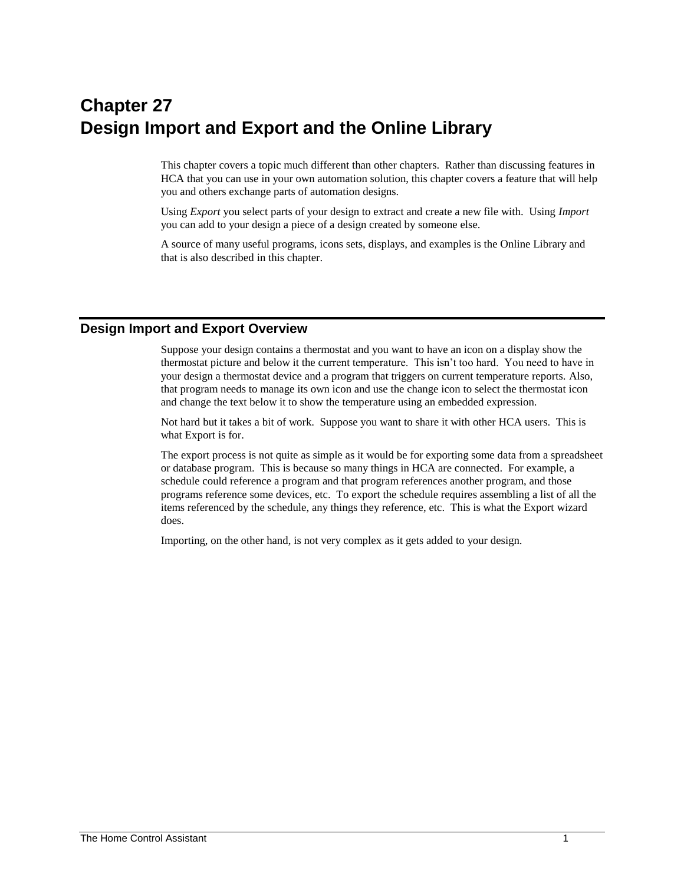# **Chapter 27 Design Import and Export and the Online Library**

This chapter covers a topic much different than other chapters. Rather than discussing features in HCA that you can use in your own automation solution, this chapter covers a feature that will help you and others exchange parts of automation designs.

Using *Export* you select parts of your design to extract and create a new file with. Using *Import* you can add to your design a piece of a design created by someone else.

A source of many useful programs, icons sets, displays, and examples is the Online Library and that is also described in this chapter.

#### **Design Import and Export Overview**

Suppose your design contains a thermostat and you want to have an icon on a display show the thermostat picture and below it the current temperature. This isn't too hard. You need to have in your design a thermostat device and a program that triggers on current temperature reports. Also, that program needs to manage its own icon and use the change icon to select the thermostat icon and change the text below it to show the temperature using an embedded expression.

Not hard but it takes a bit of work. Suppose you want to share it with other HCA users. This is what Export is for.

The export process is not quite as simple as it would be for exporting some data from a spreadsheet or database program. This is because so many things in HCA are connected. For example, a schedule could reference a program and that program references another program, and those programs reference some devices, etc. To export the schedule requires assembling a list of all the items referenced by the schedule, any things they reference, etc. This is what the Export wizard does.

Importing, on the other hand, is not very complex as it gets added to your design.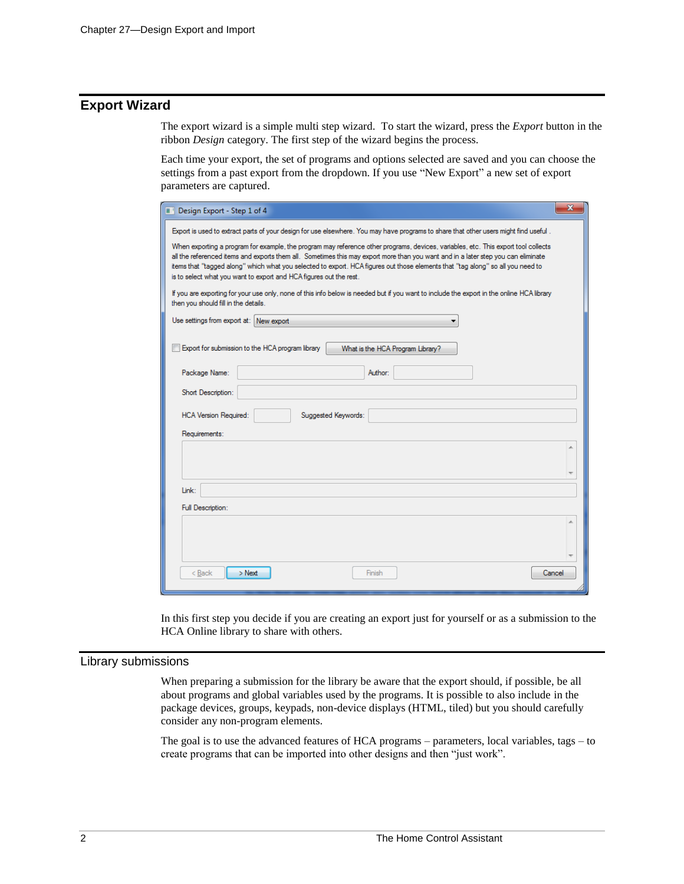# **Export Wizard**

The export wizard is a simple multi step wizard. To start the wizard, press the *Export* button in the ribbon *Design* category. The first step of the wizard begins the process.

Each time your export, the set of programs and options selected are saved and you can choose the settings from a past export from the dropdown. If you use "New Export" a new set of export parameters are captured.

| Design Export - Step 1 of 4                                                                                                                                                                                                                                                                                                                                                                                                                                                      | $\overline{\mathbf{x}}$ |  |  |  |  |  |
|----------------------------------------------------------------------------------------------------------------------------------------------------------------------------------------------------------------------------------------------------------------------------------------------------------------------------------------------------------------------------------------------------------------------------------------------------------------------------------|-------------------------|--|--|--|--|--|
| Export is used to extract parts of your design for use elsewhere. You may have programs to share that other users might find useful.                                                                                                                                                                                                                                                                                                                                             |                         |  |  |  |  |  |
| When exporting a program for example, the program may reference other programs, devices, variables, etc. This export tool collects<br>all the referenced items and exports them all. Sometimes this may export more than you want and in a later step you can eliminate<br>items that "tagged along" which what you selected to export. HCA figures out those elements that "tag along" so all you need to<br>is to select what you want to export and HCA figures out the rest. |                         |  |  |  |  |  |
| If you are exporting for your use only, none of this info below is needed but if you want to include the export in the online HCA library<br>then you should fill in the details.                                                                                                                                                                                                                                                                                                |                         |  |  |  |  |  |
| Use settings from export at: New export                                                                                                                                                                                                                                                                                                                                                                                                                                          |                         |  |  |  |  |  |
| Export for submission to the HCA program library<br>What is the HCA Program Library?                                                                                                                                                                                                                                                                                                                                                                                             |                         |  |  |  |  |  |
| Package Name:<br>Author:                                                                                                                                                                                                                                                                                                                                                                                                                                                         |                         |  |  |  |  |  |
| Short Description:                                                                                                                                                                                                                                                                                                                                                                                                                                                               |                         |  |  |  |  |  |
| <b>HCA Version Required:</b><br>Suggested Keywords:                                                                                                                                                                                                                                                                                                                                                                                                                              |                         |  |  |  |  |  |
| Requirements:                                                                                                                                                                                                                                                                                                                                                                                                                                                                    |                         |  |  |  |  |  |
|                                                                                                                                                                                                                                                                                                                                                                                                                                                                                  |                         |  |  |  |  |  |
| Link:                                                                                                                                                                                                                                                                                                                                                                                                                                                                            |                         |  |  |  |  |  |
| Full Description:                                                                                                                                                                                                                                                                                                                                                                                                                                                                |                         |  |  |  |  |  |
|                                                                                                                                                                                                                                                                                                                                                                                                                                                                                  |                         |  |  |  |  |  |
| $>$ Next<br>< Back<br>Finish<br>Cancel                                                                                                                                                                                                                                                                                                                                                                                                                                           |                         |  |  |  |  |  |

In this first step you decide if you are creating an export just for yourself or as a submission to the HCA Online library to share with others.

#### Library submissions

When preparing a submission for the library be aware that the export should, if possible, be all about programs and global variables used by the programs. It is possible to also include in the package devices, groups, keypads, non-device displays (HTML, tiled) but you should carefully consider any non-program elements.

The goal is to use the advanced features of HCA programs – parameters, local variables, tags – to create programs that can be imported into other designs and then "just work".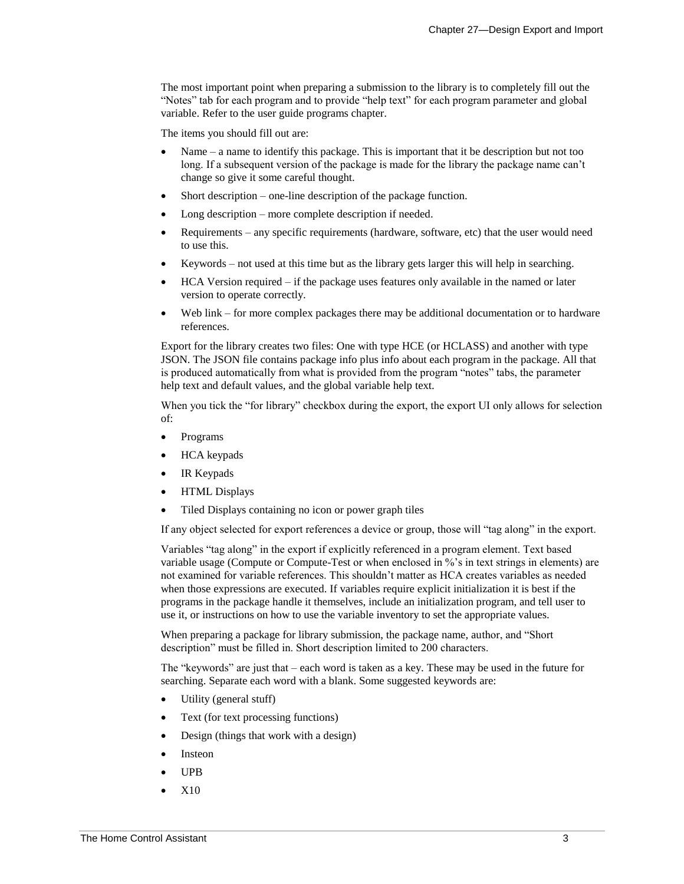The most important point when preparing a submission to the library is to completely fill out the "Notes" tab for each program and to provide "help text" for each program parameter and global variable. Refer to the user guide programs chapter.

The items you should fill out are:

- Name a name to identify this package. This is important that it be description but not too long. If a subsequent version of the package is made for the library the package name can't change so give it some careful thought.
- Short description one-line description of the package function.
- Long description more complete description if needed.
- Requirements any specific requirements (hardware, software, etc) that the user would need to use this.
- Keywords not used at this time but as the library gets larger this will help in searching.
- HCA Version required if the package uses features only available in the named or later version to operate correctly.
- Web link for more complex packages there may be additional documentation or to hardware references.

Export for the library creates two files: One with type HCE (or HCLASS) and another with type JSON. The JSON file contains package info plus info about each program in the package. All that is produced automatically from what is provided from the program "notes" tabs, the parameter help text and default values, and the global variable help text.

When you tick the "for library" checkbox during the export, the export UI only allows for selection of:

- Programs
- HCA keypads
- IR Keypads
- HTML Displays
- Tiled Displays containing no icon or power graph tiles

If any object selected for export references a device or group, those will "tag along" in the export.

Variables "tag along" in the export if explicitly referenced in a program element. Text based variable usage (Compute or Compute-Test or when enclosed in %'s in text strings in elements) are not examined for variable references. This shouldn't matter as HCA creates variables as needed when those expressions are executed. If variables require explicit initialization it is best if the programs in the package handle it themselves, include an initialization program, and tell user to use it, or instructions on how to use the variable inventory to set the appropriate values.

When preparing a package for library submission, the package name, author, and "Short description" must be filled in. Short description limited to 200 characters.

The "keywords" are just that – each word is taken as a key. These may be used in the future for searching. Separate each word with a blank. Some suggested keywords are:

- Utility (general stuff)
- Text (for text processing functions)
- Design (things that work with a design)
- **Insteon**
- UPB
- X10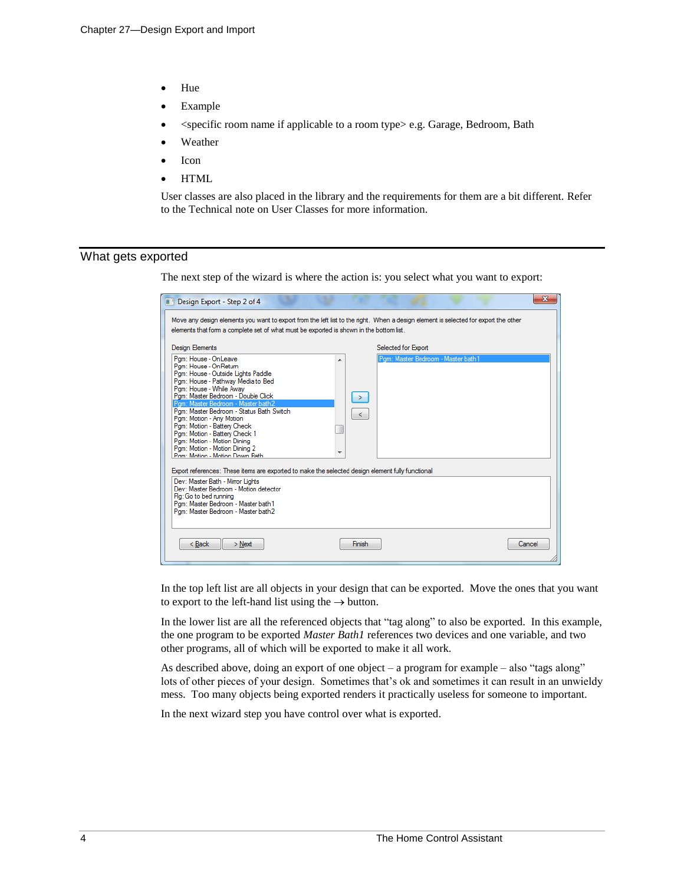- Hue
- Example
- <specific room name if applicable to a room type> e.g. Garage, Bedroom, Bath
- **Weather**
- **Icon**
- HTML

User classes are also placed in the library and the requirements for them are a bit different. Refer to the Technical note on User Classes for more information.

#### What gets exported

The next step of the wizard is where the action is: you select what you want to export:

| Design Export - Step 2 of 4                                                                                                                                                                                                                                                                                                                                                                                                                      | Move any design elements you want to export from the left list to the right. When a design element is selected for export the other | x      |
|--------------------------------------------------------------------------------------------------------------------------------------------------------------------------------------------------------------------------------------------------------------------------------------------------------------------------------------------------------------------------------------------------------------------------------------------------|-------------------------------------------------------------------------------------------------------------------------------------|--------|
| elements that form a complete set of what must be exported is shown in the bottom list.<br><b>Design Elements</b><br>Pam: House - OnLeave                                                                                                                                                                                                                                                                                                        | Selected for Export<br>Pam: Master Bedroom - Master bath1                                                                           |        |
| Pam: House - OnRetum<br>Pam: House - Outside Lights Paddle<br>Pam: House - Pathway Media to Bed<br>Pam: House - While Away<br>Pam: Master Bedroom - Double Click<br>Pam: Master Bedroom - Master bath2<br>Pam: Master Bedroom - Status Bath Switch<br>Pam: Motion - Any Motion<br>Pgm: Motion - Battery Check<br>Pgm: Motion - Battery Check 1<br>Pam: Motion - Motion Dinina<br>Pam: Motion - Motion Dinina 2<br>Pam: Motion - Motion Down Bath | ▲<br>$\rightarrow$<br>$\leq$                                                                                                        |        |
| Export references: These items are exported to make the selected design element fully functional<br>Dev: Master Bath - Mirror Lights<br>Dev: Master Bedroom - Motion detector<br>Flg: Go to bed running<br>Pam: Master Bedroom - Master bath 1<br>Pam: Master Bedroom - Master bath2                                                                                                                                                             |                                                                                                                                     |        |
| < Back<br>$>$ Next                                                                                                                                                                                                                                                                                                                                                                                                                               | Finish                                                                                                                              | Cancel |

In the top left list are all objects in your design that can be exported. Move the ones that you want to export to the left-hand list using the  $\rightarrow$  button.

In the lower list are all the referenced objects that "tag along" to also be exported. In this example, the one program to be exported *Master Bath1* references two devices and one variable, and two other programs, all of which will be exported to make it all work.

As described above, doing an export of one object – a program for example – also "tags along" lots of other pieces of your design. Sometimes that's ok and sometimes it can result in an unwieldy mess. Too many objects being exported renders it practically useless for someone to important.

In the next wizard step you have control over what is exported.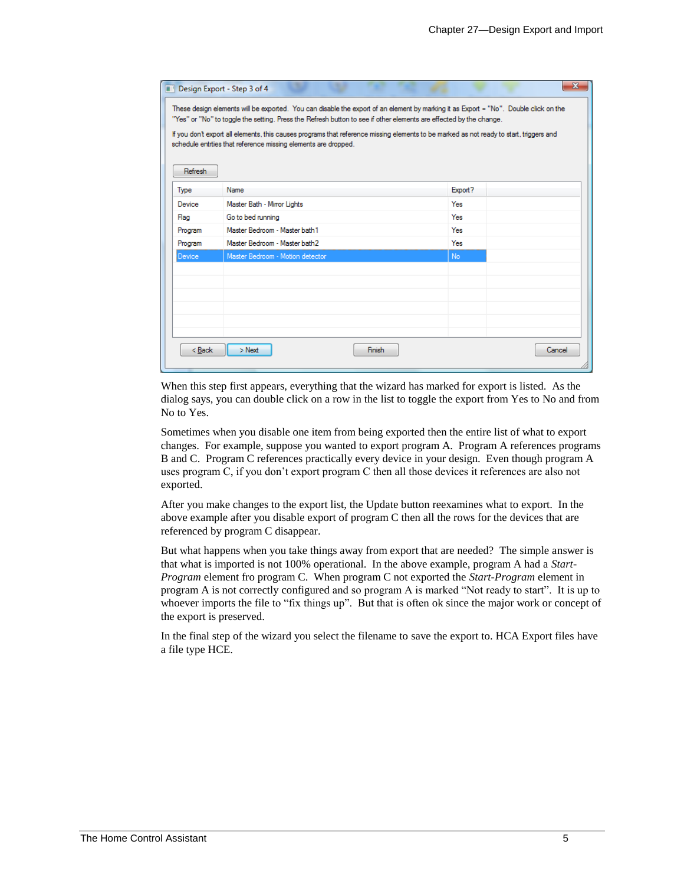|         | Design Export - Step 3 of 4<br>These design elements will be exported. You can disable the export of an element by marking it as Export = "No". Double click on the<br>"Yes" or "No" to toggle the setting. Press the Refresh button to see if other elements are effected by the change.<br>If you don't export all elements, this causes programs that reference missing elements to be marked as not ready to start, triggers and |           |        |
|---------|--------------------------------------------------------------------------------------------------------------------------------------------------------------------------------------------------------------------------------------------------------------------------------------------------------------------------------------------------------------------------------------------------------------------------------------|-----------|--------|
| Refresh | schedule entities that reference missing elements are dropped.                                                                                                                                                                                                                                                                                                                                                                       |           |        |
| Type    | Name                                                                                                                                                                                                                                                                                                                                                                                                                                 | Export?   |        |
| Device  | Master Bath - Mirror Lights                                                                                                                                                                                                                                                                                                                                                                                                          | Yes       |        |
| Flag    | Go to bed running                                                                                                                                                                                                                                                                                                                                                                                                                    | Yes       |        |
| Program | Master Bedroom - Master bath 1                                                                                                                                                                                                                                                                                                                                                                                                       | Yes       |        |
| Program | Master Bedroom - Master bath2                                                                                                                                                                                                                                                                                                                                                                                                        | Yes       |        |
| Device  | Master Bedroom - Motion detector                                                                                                                                                                                                                                                                                                                                                                                                     | <b>No</b> |        |
|         |                                                                                                                                                                                                                                                                                                                                                                                                                                      |           |        |
|         |                                                                                                                                                                                                                                                                                                                                                                                                                                      |           |        |
|         |                                                                                                                                                                                                                                                                                                                                                                                                                                      |           |        |
|         |                                                                                                                                                                                                                                                                                                                                                                                                                                      |           |        |
|         |                                                                                                                                                                                                                                                                                                                                                                                                                                      |           |        |
|         |                                                                                                                                                                                                                                                                                                                                                                                                                                      |           |        |
|         | < Back<br>$>$ Next<br>Finish                                                                                                                                                                                                                                                                                                                                                                                                         |           | Cancel |

When this step first appears, everything that the wizard has marked for export is listed. As the dialog says, you can double click on a row in the list to toggle the export from Yes to No and from No to Yes.

Sometimes when you disable one item from being exported then the entire list of what to export changes. For example, suppose you wanted to export program A. Program A references programs B and C. Program C references practically every device in your design. Even though program A uses program C, if you don't export program C then all those devices it references are also not exported.

After you make changes to the export list, the Update button reexamines what to export. In the above example after you disable export of program C then all the rows for the devices that are referenced by program C disappear.

But what happens when you take things away from export that are needed? The simple answer is that what is imported is not 100% operational. In the above example, program A had a *Start-Program* element fro program C. When program C not exported the *Start-Program* element in program A is not correctly configured and so program A is marked "Not ready to start". It is up to whoever imports the file to "fix things up". But that is often ok since the major work or concept of the export is preserved.

In the final step of the wizard you select the filename to save the export to. HCA Export files have a file type HCE.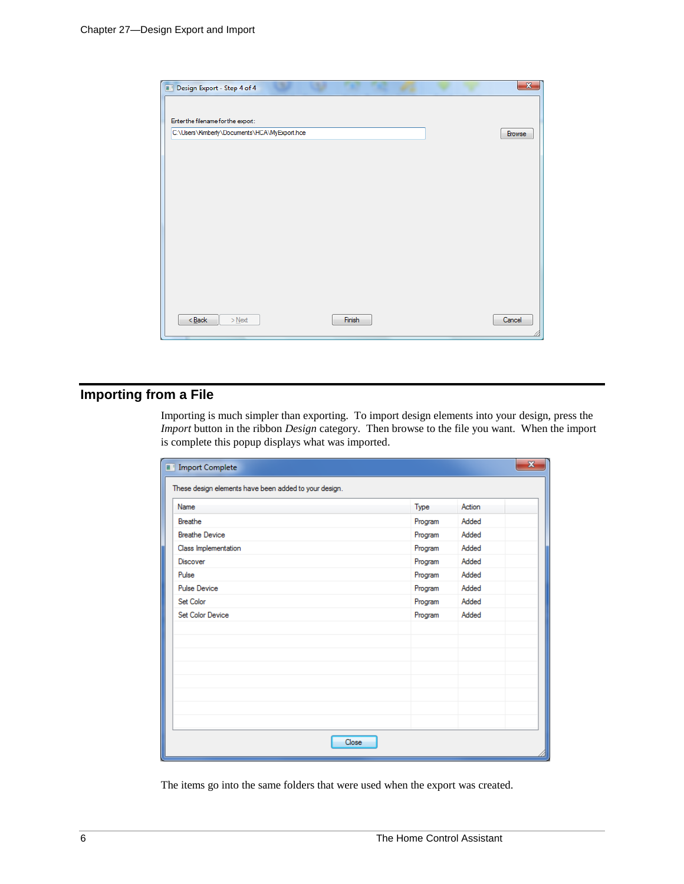

# **Importing from a File**

Importing is much simpler than exporting. To import design elements into your design, press the *Import* button in the ribbon *Design* category. Then browse to the file you want. When the import is complete this popup displays what was imported.

| $\mathbf{x}$<br><b>Import Complete</b><br>ш           |         |        |  |  |  |
|-------------------------------------------------------|---------|--------|--|--|--|
| These design elements have been added to your design. |         |        |  |  |  |
| Name                                                  | Type    | Action |  |  |  |
| Breathe                                               | Program | Added  |  |  |  |
| <b>Breathe Device</b>                                 | Program | Added  |  |  |  |
| Class Implementation                                  | Program | Added  |  |  |  |
| <b>Discover</b>                                       | Program | Added  |  |  |  |
| Pulse                                                 | Program | Added  |  |  |  |
| <b>Pulse Device</b>                                   | Program | Added  |  |  |  |
| Set Color                                             | Program | Added  |  |  |  |
| Set Color Device                                      | Program | Added  |  |  |  |
|                                                       |         |        |  |  |  |
|                                                       |         |        |  |  |  |
|                                                       |         |        |  |  |  |
|                                                       |         |        |  |  |  |
|                                                       |         |        |  |  |  |
|                                                       |         |        |  |  |  |
|                                                       |         |        |  |  |  |
|                                                       |         |        |  |  |  |
| Close                                                 |         |        |  |  |  |

The items go into the same folders that were used when the export was created.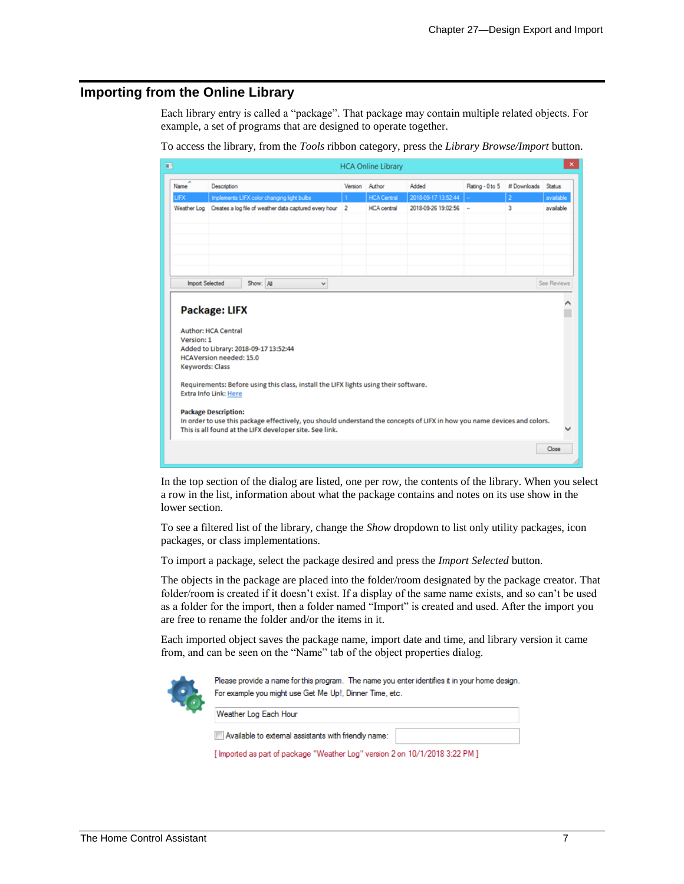### **Importing from the Online Library**

Each library entry is called a "package". That package may contain multiple related objects. For example, a set of programs that are designed to operate together.

| $\blacksquare$                |                                                                                                                                                                      |                                            |  |                                                                                      |                | <b>HCA Online Library</b> |                                                                                                                          |                 |                | ×           |
|-------------------------------|----------------------------------------------------------------------------------------------------------------------------------------------------------------------|--------------------------------------------|--|--------------------------------------------------------------------------------------|----------------|---------------------------|--------------------------------------------------------------------------------------------------------------------------|-----------------|----------------|-------------|
| ۰<br>Name                     | Description                                                                                                                                                          |                                            |  |                                                                                      | Version        | Author                    | Added                                                                                                                    | Rating - 0 to 5 | # Downloads    | Status      |
| LIFX                          |                                                                                                                                                                      | Implements LIFX color changing light bulbs |  |                                                                                      |                | <b>HCA Central</b>        | 2018-09-17 13:52:44                                                                                                      |                 | $\overline{2}$ | available   |
| Weather Log                   |                                                                                                                                                                      |                                            |  | Creates a log file of weather data captured every hour                               | $\overline{2}$ | <b>HCA</b> central        | 2018-09-26 19:02:56                                                                                                      | $\bar{a}$       | 3              | available   |
|                               |                                                                                                                                                                      |                                            |  |                                                                                      |                |                           |                                                                                                                          |                 |                |             |
|                               |                                                                                                                                                                      |                                            |  |                                                                                      |                |                           |                                                                                                                          |                 |                |             |
|                               |                                                                                                                                                                      |                                            |  |                                                                                      |                |                           |                                                                                                                          |                 |                |             |
|                               |                                                                                                                                                                      |                                            |  |                                                                                      |                |                           |                                                                                                                          |                 |                |             |
|                               |                                                                                                                                                                      |                                            |  |                                                                                      |                |                           |                                                                                                                          |                 |                |             |
| <b>Import Selected</b>        |                                                                                                                                                                      |                                            |  |                                                                                      |                |                           |                                                                                                                          |                 |                | See Reviews |
|                               |                                                                                                                                                                      | Show: All                                  |  | ٧                                                                                    |                |                           |                                                                                                                          |                 |                |             |
| Version: 1<br>Keywords: Class | <b>Author: HCA Central</b><br>Added to Library: 2018-09-17 13:52:44<br><b>HCAVersion needed: 15.0</b><br><b>Extra Info Link: Here</b><br><b>Package Description:</b> |                                            |  | Requirements: Before using this class, install the LIFX lights using their software. |                |                           |                                                                                                                          |                 |                |             |
|                               |                                                                                                                                                                      |                                            |  | This is all found at the LIFX developer site. See link.                              |                |                           | In order to use this package effectively, you should understand the concepts of LIFX in how you name devices and colors. |                 |                |             |
|                               |                                                                                                                                                                      |                                            |  |                                                                                      |                |                           |                                                                                                                          |                 |                | Close       |

To access the library, from the *Tools* ribbon category, press the *Library Browse/Import* button.

In the top section of the dialog are listed, one per row, the contents of the library. When you select a row in the list, information about what the package contains and notes on its use show in the lower section.

To see a filtered list of the library, change the *Show* dropdown to list only utility packages, icon packages, or class implementations.

To import a package, select the package desired and press the *Import Selected* button.

The objects in the package are placed into the folder/room designated by the package creator. That folder/room is created if it doesn't exist. If a display of the same name exists, and so can't be used as a folder for the import, then a folder named "Import" is created and used. After the import you are free to rename the folder and/or the items in it.

Each imported object saves the package name, import date and time, and library version it came from, and can be seen on the "Name" tab of the object properties dialog.



Please provide a name for this program. The name you enter identifies it in your home design. For example you might use Get Me Up!, Dinner Time, etc.

Available to external assistants with friendly name:

Weather Log Each Hour

[ Imported as part of package "Weather Log" version 2 on 10/1/2018 3:22 PM ]